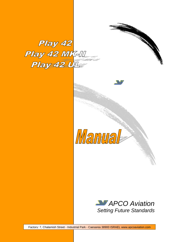Play 42 Play 42 MK-II Play 42 Uller





Factory: 7, Chalamish Street - Industrial Park - Caesarea 38900 ISRAEL www.apcoaviation.com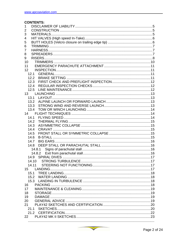#### **CONTENTS:**

| 1                     |  |
|-----------------------|--|
| 2                     |  |
| 3                     |  |
| 4                     |  |
| 5                     |  |
| 6                     |  |
| 7                     |  |
| 8                     |  |
| 9                     |  |
| 10                    |  |
| 11                    |  |
| 12                    |  |
| 12.1                  |  |
| 12.2                  |  |
| 12.3                  |  |
| 12.4                  |  |
| 12.5                  |  |
| 13                    |  |
| 13.1                  |  |
| 13.2                  |  |
| 13.3                  |  |
| 13.4                  |  |
|                       |  |
| 14.1                  |  |
| 14.2                  |  |
| 14.3                  |  |
| 14.4<br><b>CRAVAT</b> |  |
| 14.5                  |  |
| 14.6                  |  |
| 14.7                  |  |
| 14.8                  |  |
| 14.8.1                |  |
|                       |  |
| 14.9                  |  |
| 14.10                 |  |
| 14.11                 |  |
|                       |  |
| 15.1                  |  |
|                       |  |
|                       |  |
| 16                    |  |
| 17                    |  |
| 18                    |  |
| 19                    |  |
| 20                    |  |
| 21                    |  |
|                       |  |
|                       |  |
|                       |  |
|                       |  |

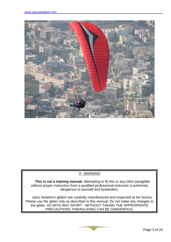

### !!! WARNING

**This is not a training manual.** Attempting to fly this or any other paraglider without proper instruction from a qualified professional instructor is extremely dangerous to yourself and bystanders.

Apco Aviation's gliders are carefully manufactured and inspected at the factory. Please use the glider only as described in this manual. Do not make any changes to the glider. AS WITH ANY SPORT - WITHOUT TAKING THE APPROPRIATE PRECAUTIONS, PARAGLIDING CAN BE DANGEROUS.

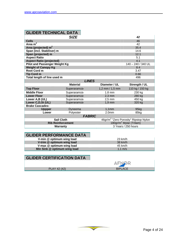| <b>GLIDER TECHNICAL DATA</b> |
|------------------------------|
|------------------------------|

|                                      | <b>SIZE</b>     |                   | 42                                                |  |
|--------------------------------------|-----------------|-------------------|---------------------------------------------------|--|
| <b>Cells</b>                         |                 |                   | 46                                                |  |
| Area $m2$                            |                 |                   | 42                                                |  |
| Area (projected) $m2$                |                 |                   | 35.4                                              |  |
| Span (incl. Stabiliser) m            |                 |                   | 14.6                                              |  |
| Span (projected) m                   |                 |                   | 12.1                                              |  |
| <b>Aspect Ratio</b>                  |                 |                   | 5.1                                               |  |
| <b>Aspect Ratio (projected)</b>      |                 |                   | 4.1                                               |  |
| <b>Pilot and Passenger Weight Kg</b> |                 |                   | 140 - 240 / 340 UL                                |  |
| <b>Weight of Canopy Kg</b>           |                 |                   | 8.4                                               |  |
| Root Cord m                          |                 |                   | 3.47                                              |  |
| <b>Tip Cord m</b>                    |                 |                   | 0.66                                              |  |
| Total length of line used m          |                 |                   | 496                                               |  |
| <b>LINES</b>                         |                 |                   |                                                   |  |
|                                      |                 |                   |                                                   |  |
|                                      | <b>Material</b> | Diameter / UL     | Strength / UL                                     |  |
| <b>Top Floor</b>                     | Superaramide    | 1,2 mm / $1,5$ mm | 110 kg / 150 kg                                   |  |
| <b>Middle Floor</b>                  | Superaramide    | $1.8$ mm          | 230 kg                                            |  |
| <b>Lower Floor</b>                   | Superaramide    | $2,3$ mm          | 280 kg                                            |  |
| Lower A,B (UL)                       | Superaramide    | $2,5$ mm          | 450 kg                                            |  |
| Lower C, D, St (UL)                  | Superaramide    | $1,9$ mm          | 320 kg                                            |  |
| <b>Brake Cascades:</b>               |                 |                   |                                                   |  |
| <b>Uppper</b>                        | Dyneema         | 1,1mm             | 95kg                                              |  |
| Lower                                | Polyester       | 2.0 <sub>mm</sub> | 85kg                                              |  |
|                                      | <b>FABRIC</b>   |                   |                                                   |  |
| <b>Sail Cloth</b>                    |                 |                   | 46gr/m <sup>2</sup> "Zero Porosity" Ripstop Nylon |  |
| <b>Rib Reinforcement</b>             |                 |                   | 180gr/m <sup>2</sup> Mylar (Trilam)               |  |
| Warranty                             |                 |                   | 3 Years / 250 hours                               |  |

## **GLIDER PERFORMANCE DATA**

| V-min @ optimum wing load    | $23 \text{ km/h}$ |
|------------------------------|-------------------|
| V-trim @ optimum wing load   | $38 \text{ km/h}$ |
| V-max @ optimum wing load    | 45 km/h           |
| Min Sink @ optimum wing load | $1.1 \text{ m/s}$ |

# **GLIDER CERTIFICATION DATA**

|              | AFNOT          |
|--------------|----------------|
| PLAY 42 (42) | <b>BIPLACE</b> |

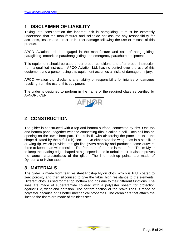# <span id="page-4-0"></span>**1 DISCLAIMER OF LIABILITY**

Taking into consideration the inherent risk in paragliding, it must be expressly understood that the manufacturer and seller do not assume any responsibility for accidents, losses and direct or indirect damage following the use or misuse of this product.

APCO Aviation Ltd. is engaged in the manufacture and sale of hang gliding, paragliding, motorized para/hang gliding and emergency parachute equipment.

This equipment should be used under proper conditions and after proper instruction from a qualified instructor. APCO Aviation Ltd. has no control over the use of this equipment and a person using this equipment assumes all risks of damage or injury.

APCO Aviation Ltd. disclaims any liability or responsibility for injuries or damages resulting from the use of this equipment.

The glider is designed to perform in the frame of the required class as certified by AFNOR / CEN



# **2 CONSTRUCTION**

The glider is constructed with a top and bottom surface, connected by ribs. One top and bottom panel, together with the connecting ribs is called a cell. Each cell has an opening on the lower front part. The cells fill with air forcing the panels to take the shape dictated by the airfoil (rib) section. On either side the wing ends in a stabilizer or wing tip, which provides straight-line (Yaw) stability and produces some outward force to keep span-wise tension. The front part of the ribs is made from Trialm Mylar to keep the leading edge shaped at high speeds and in turbulent air. It also improves the launch characteristics of the glider. The line hook-up points are made of Dyneema or Nylon tape.

# **3 MATERIALS**

The glider is made from tear resistant Ripstop Nylon cloth, which is P.U. coated to zero porosity and then siliconized to give the fabric high resistance to the elements. Different cloth is used for the top, bottom and ribs due to their different functions. The lines are made of superaramide covered with a polyester sheath for protection against UV, wear and abrasion. The bottom section of the brake lines is made of polyester because of its better mechanical properties. The carabiners that attach the lines to the risers are made of stainless steel.

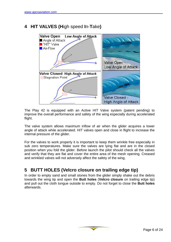# <span id="page-5-0"></span>**4 HIT VALVES (H**igh speed **I**n-**T**ake**)**



The Play 42 is equipped with an Active HIT Valve system (patent pending) to improve the overall performance and safety of the wing especially during accelerated flight.

The valve system allows maximum inflow of air when the glider acquires a lower angle of attack while accelerated. HIT valves open and close in flight to increase the internal pressure of the glider.

For the valves to work properly it is important to keep them wrinkle free especially in sub zero temperatures. Make sure the valves are lying flat and are in the closed position when you fold the glider. Before launch the pilot should check all the valves and verify that they are flat and cover the entire area of the mesh opening. Creased and wrinkled valves will not adversely affect the safety of the wing.

# **5 BUTT HOLES (Velcro closure on trailing edge tip)**

In order to empty sand and small stones from the glider simply shake out the debris towards the wing tip and open the **Butt holes** (**Velcro closure** on trailing edge tip) and pull out the cloth tongue outside to empty. Do not forget to close the **Butt holes** afterwards.

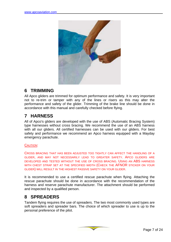<span id="page-6-0"></span>

# **6 TRIMMING**

All Apco gliders are trimmed for optimum performance and safety. It is very important not to re-trim or tamper with any of the lines or risers as this may alter the performance and safety of the glider. Trimming of the brake line should be done in accordance with this manual and carefully checked before flying.

# **7 HARNESS**

All of Apco's gliders are developed with the use of ABS (Automatic Bracing System) type harnesses without cross bracing. We recommend the use of an ABS harness with all our gliders. All certified harnesses can be used with our gliders. For best safety and performance we recommend an Apco harness equipped with a Mayday emergency parachute.

#### CAUTION:

CROSS BRACING THAT HAS BEEN ADJUSTED TOO TIGHTLY CAN AFFECT THE HANDLING OF A GLIDER, AND MAY NOT NECESSARILY LEAD TO GREATER SAFETY. APCO GLIDERS ARE DEVELOPED AND TESTED WITHOUT THE USE OF CROSS BRACING. USING AN ABS HARNESS WITH CHEST STRAP SET AT THE SPECIFIED WIDTH (CHECK THE AFNOR STICKER ON YOUR GLIDER) WILL RESULT IN THE HIGHEST PASSIVE SAFETY ON YOUR GLIDER.

It is recommended to use a certified rescue parachute when flying. Attaching the rescue parachute should be done in accordance with the recommendation of the harness and reserve parachute manufacturer. The attachment should be performed and inspected by a qualified person.

# **8 SPREADERS**

Tandem flying requires the use of spreaders. The two most commonly used types are soft spreaders and spreader bars. The choice of which spreader to use is up to the personal preference of the pilot.

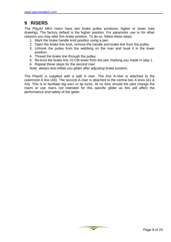# <span id="page-7-0"></span>**9 RISERS**

The Play42 MKII risers have two brake pulley positions; higher or lower (see drawing). The factory default is the higher position. For paramotor use or for other reasons you may alter this brake position. To do so, follow these steps:

- 1. Mark the brake handle knot position using a pen.
- 2. Open the brake line knot, remove the handle and brake line from the pulley.
- 3. Unhook the pulley from the webbing on the riser and hook it in the lower position.
- 4. Thread the brake line through the pulley.
- 5. Re-knot the brake line 15 CM lower from the pen marking you made in step 1.
- 6. Repeat these steps for the second riser.

Note: always test-inflate you glider after adjusting brake position.

The Play42 is supplied with a split A riser. The first A-riser is attached to the outermost A line (A5). The second A-riser is attached to the central two A lines (A1 & A3). This is to facilitate *big ears* or *tip tucks*. At no time should the pilot change the risers or use risers not intended for this specific glider as this will affect the performance and safety of the glider.

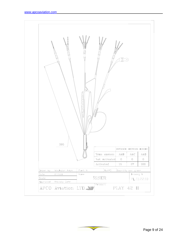

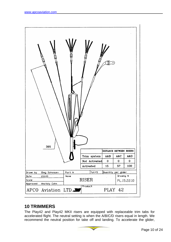<span id="page-9-0"></span>

# **10 TRIMMERS**

The Play42 and Play42 MKII risers are equipped with replaceable trim tabs for accelerated flight. The neutral setting is when the A/B/C/D risers equal in length. We recommend the neutral position for take off and landing. To accelerate the glider,

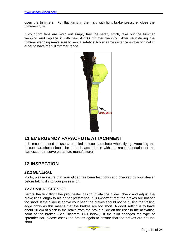<span id="page-10-0"></span>open the trimmers. For flat turns in thermals with light brake pressure, close the trimmers fully.

If your trim tabs are worn out simply fray the safety stitch, take out the trimmer webbing and replace it with new APCO trimmer webbing. After re-installing the trimmer webbing make sure to sew a safety stitch at same distance as the original in order to have the full trimmer range.



# **11 EMERGENCY PARACHUTE ATTACHMENT**

It is recommended to use a certified rescue parachute when flying. Attaching the rescue parachute should be done in accordance with the recommendation of the harness and reserve parachute manufacturer.

# **12 INSPECTION**

### *12.1GENERAL*

Pilots, please insure that your glider has been test flown and checked by your dealer before taking it into your possession.

### *12.2BRAKE SETTING*

Before the first flight the pilot/dealer has to inflate the glider, check and adjust the brake lines length to his or her preference. It is important that the brakes are not set too short. If the glider is above your head the brakes should not be pulling the trailing edge down as this means that the brakes are too short. A good setting is to have about 10 cm of slack in the brake from the brake guide on the riser to the activation point of the brakes (See Diagram 11-1 below). If the pilot changes the type of spreader bar, please check the brakes again to ensure that the brakes are not too short.

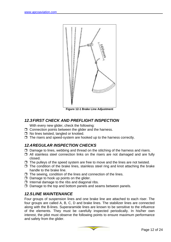<span id="page-11-0"></span>

**Figure 12-1 Brake Line Adjustment** 

### *12.3FIRST CHECK AND PREFLIGHT INSPECTION*

With every new glider, check the following:

- $\Box$  Connection points between the glider and the harness.
- $\Box$  No lines twisted, tangled or knotted.
- $\Box$  The risers and speed-system are hooked up to the harness correctly.

## *12.4REGULAR INSPECTION CHECKS*

- $\Box$  Damage to lines, webbing and thread on the stitching of the harness and risers.
- $\Box$  All stainless steel connection links on the risers are not damaged and are fully closed.
- $\Box$  The pulleys of the speed system are free to move and the lines are not twisted.
- $\Box$  The condition of the brake lines, stainless steel ring and knot attaching the brake handle to the brake line.
- $\Box$  The sewing, condition of the lines and connection of the lines.
- $\Box$  Damage to hook up points on the glider.
- $\Box$  Internal damage to the ribs and diagonal ribs.
- $\Box$  Damage to the top and bottom panels and seams between panels.

## *12.5LINE MAINTENANCE*

Four groups of suspension lines and one brake line are attached to each riser. The four groups are called A, B, C, D and brake lines. The stabilizer lines are connected along with the B-lines. Superaramide lines are known to be sensitive to the influence of the elements. They must be carefully inspected periodically. In his/her own interest, the pilot must observe the following points to ensure maximum performance and safety from the glider.

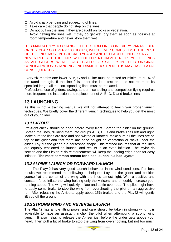- <span id="page-12-0"></span> $\Box$  Avoid sharp bending and squeezing of lines.
- $\Box$  Take care that people do not step on the lines.
- $\Box$  Do not pull on the lines if they are caught on rocks or vegetation.
- $\Box$  Avoid getting the lines wet. If they do get wet, dry them as soon as possible at room temperature and never store them wet.

IT IS MANDATORY TO CHANGE THE BOTTOM LINES ON EVERY PARAGLIDER ONCE A YEAR OR EVERY 100 HOURS, WHICH EVER COMES FIRST. THE REST OF THE LINES MUST BE CHECKED YEARLY AND REPLACED IF NECESSARY. NEVER REPLACE THE LINES WITH DIFFERENT DIAMETER OR TYPE OF LINES AS ALL GLIDERS WERE LOAD TESTED FOR SAFETY IN THEIR ORIGINAL CONFIGURATION. CHANGING LINE DIAMETER/ STRENGTHS MAY HAVE FATAL CONSEQUENCES.

Every six months one lower A, B, C and D line must be tested for minimum 50 % of the rated strength. If the line fails under the load test or does not return to its specified length all the corresponding lines must be replaced.

Professional use of gliders: towing, tandem, schooling and competition flying requires more frequent line inspection and replacement of A, B, C, D and brake lines.

## **13 LAUNCHING**

As this is not a training manual we will not attempt to teach you proper launch techniques. We briefly cover the different launch techniques to help you get the most out of your glider.

## *13.1LAYOUT*

Pre-flight check should be done before every flight. Spread the glider on the ground. Spread the lines, dividing them into groups A, B, C, D and brake lines left and right. Make sure the lines are free and not twisted or knotted. Make sure all the lines are on top of the glider and that there are none caught on vegetation or rocks under the glider. Lay out the glider in a horseshoe shape. This method insures that all the lines are equally tensioned on launch, and results in an even inflation. The Mylar rib section and the Flexon<sup>™</sup> rib reinforcements will keep the leading edge open for easy inflation. **The most common reason for a bad launch is a bad layout!**

### *13.2ALPINE LAUNCH OR FORWARD LAUNCH*

The Play42 has very good launch behaviour in no wind conditions. For best results we recommend the following techniques: Lay out the glider and position yourself at the center of the wing with the lines almost tight. With a positive and constant force inflate the wing holding only the A-risers, and smoothly increase your running speed. The wing will quickly inflate and settle overhead. The pilot might have to apply some brake to stop the wing from overshooting the pilot on an aggressive run. After releasing the A-risers, apply about 15% brakes and the Play42 will gently lift you off the ground.

### *13.3STRONG WIND AND REVERSE LAUNCH*

The Play42 has ample lifting power and care should be taken in strong wind. It is advisable to have an assistant anchor the pilot when attempting a strong wind launch. It also helps to release the A-riser just before the glider gets above your head. Then pull a bit of brake to stop the wing from overshooting, but not too much

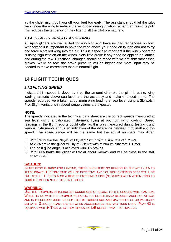<span id="page-13-0"></span>as the glider might pull you off your feet too early. The assistant should let the pilot walk under the wing to reduce the wing load during inflation rather than resist its pull; this reduces the tendency of the glider to lift the pilot prematurely.

## *13.4 TOW OR WINCH LAUNCHING*

All Apco gliders are well suited for winching and have no bad tendencies on tow. With towing it is important to have the wing above your head on launch and not to try and force a stalled wing into the air. This is especially important if the winch operator is using high tension on the winch. Very little brake if any need be applied on launch and during the tow. Directional changes should be made with weight shift rather than brakes. While on tow, the brake pressure will be higher and more input may be needed to make corrections than in normal flight.

# **14 FLIGHT TECHNIQUES**

## *14.1FLYING SPEED*

Indicated trim speed is dependant on the amount of brake the pilot is using, wing loading, altitude above sea level and the accuracy and make of speed probe. The speeds recorded were taken at optimum wing loading at sea level using a Skywatch Pro; Slight variations in speed range values are expected.

#### **NOTE:**

The speeds indicated in the technical data sheet are the correct speeds measured at sea level using a calibrated instrument flying at optimum wing loading. Speed readings in the flight reports could differ as this was measured during testing using various instruments and is an indication of the difference between trim, stall and top speed. The speed range will be the same but the actual numbers may differ.

- $\Box$  With 0% brake the Play42 will fly at 37 km/h with a sink rate of 1.2 m/s.
- $\Box$  At 25% brake the glider will fly at 33km/h with minimum sink rate 1.1 m/s.
- $\Box$  The best glide angle is achieved with 0% brakes.
- □ With 80% brake the glider will fly at about 24km/h and will be close to the stall POINT 22KM/H.

#### **CAUTION:**

APART FROM FLARING FOR LANDING, THERE SHOULD BE NO REASON TO FLY WITH 70% TO 100% BRAKE. THE SINK RATE WILL BE EXCESSIVE AND YOU RISK ENTERING DEEP STALL OR FULL STALL. THERE'S ALSO A RISK OF ENTERING A SPIN (NEGATIVE) WHEN ATTEMPTING TO TURN THE GLIDER NEAR THE STALL SPEED.

#### **WARNING:**

USE THE TRIMMERS IN TURBULENT CONDITIONS OR CLOSE TO THE GROUND WITH CAUTION. WHILE FLYING WITH THE TRIMMER RELEASED, THE GLIDER HAS A REDUCED ANGLE OF ATTACK AND IS THEREFORE MORE SUSCEPTIBLE TO TURBULENCE AND MAY COLLAPSE OR PARTIALLY DEFLATE. GLIDERS REACT FASTER WHEN ACCELERATED AND MAY TURN MORE. PLAY 42 IS EQUIPPED WITH HIT VALVE SYSTEM IMPROVING L/E DEFINITION AT HIGH SPEEDS.

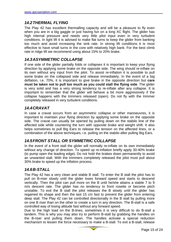## <span id="page-14-0"></span>*14.2THERMAL FLYING*

The Play 42 has excellent thermalling capacity and will be a pleasure to fly even when you are in a big gaggle or just having fun on a long XC flight. The glider has high internal pressure and needs very little pilot input even in very turbulent conditions. In light lift it is advised to make flat turns to keep the glider from banking too much and avoid increasing the sink rate. In strong lift conditions it is most effective to have small turns in the core with relatively high bank. For the best climb rate in ridge lift we recommend using about 15% to 20% brake.

## *14.3ASYMMETRIC COLLAPSE*

If one side of the glider partially folds or collapses it is important to keep your flying direction by applying some brake on the opposite side. The wing should re-inflate on its own without any input from the pilot. To assist re-inflation it is possible to pull some brake on the collapsed side and release immediately. In the event of a big deflation, i.e. 70%, it is important to give brake in the opposite direction but **care must be taken not to pull too much as you could stall the flying side**. The glider is very solid and has a very strong tendency to re-inflate after any collapse. It is important to remember that the glider will behave a bit more aggressively if the collapse happens with the trimmers released (open). Do not fly with the trimmer completely released in very turbulent conditions.

## *14.4CRAVAT*

In case a cravat occurs from an asymmetric collapse or other manoeuvres, it is important to maintain your flying direction by applying some brake on the opposite side. The cravat can usually be opened by pulling down on the stabilo line of the affected side while countering the turn with opposite brake and weight shift. It also helps sometimes to pull Big Ears to release the tension on the affected lines, or a combination of the above techniques, i.e. pulling on the stabilo after pulling Big Ears.

## *14.5FRONT STALL OR SYMMETRIC COLLAPSE*

In the event of a front stall the glider will normally re-inflate on its own immediately without any change of direction. To speed up re-inflation briefly apply 30-40% brake (to pump open the leading edge). Do not hold the brakes down permanently to avoid an unwanted stall. With the trimmers completely released the pilot must pull about 30% brake to speed up the inflation process.

### *14.6B-STALL*

The Play 42 has a very clean and stable B stall. To enter the B stall the pilot has to pull on B-riser slowly until the glider loses forward speed and starts to descend vertically. Then the pilot can pull more on the B until he/she attains a stable 7 to 9 m/s descent rate. The glider has no tendency to front rosette or become pitch unstable. To exit the B stall the pilot releases the B slowly until the glider has regained its shape and then the last 15 cm fast to prevent the glider from entering deep stall. The Play 42 can be controlled directionally in the B stall by pulling more on one B riser than on the other to create a turn in any direction. The B-stall is a safe controlled way of losing altitude fast without any forward speed.

Due to the high load on the B-lines, sometimes it is very difficult to do B-stall a tandem. This is why you may also try to perform B-stall by grabbing the handles on the B-riser and pulling them down. The handles activate a special reduction mechanism to lessen the force necessary to make a B-stall. To exit a B-stall, release

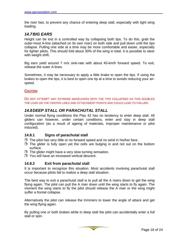<span id="page-15-0"></span>the riser fast, to prevent any chance of entering deep stall, especially with light wing loading.

## *14.7BIG EARS*

Height can be lost in a controlled way by collapsing both tips. To do this, grab the outer-most A-line (attached on its own riser) on both side and pull down until the tips collapse. Pulling one side at a time may be more comfortable and easier, especially for lighter pilots. This should fold about 30% of the wing in total. It is possible to steer with weight shift.

Big ears yield around 7 m/s sink-rate with about 45-km/h forward speed. To exit, release the outer A-lines.

Sometimes, it may be necessary to apply a little brake to open the tips. If using the brakes to open the tips, it is best to open one tip at a time to avoids reducing your airspeed.

#### **CAUTION**

DO NOT ATTEMPT ANY EXTREME MANEUVERS WITH THE TIPS COLLAPSED AS THIS DOUBLES THE LOAD ON THE CENTER LINES AND ATTACHMENT POINTS AND COULD LEAD TO FAILURE.

### *14.8DEEP STALL OR PARACHUTAL STALL*

Under normal flying conditions the Play 42 has no tendency to enter deep stall. All gliders can however, under certain conditions, enter and stay in deep stall configuration (as a result of ageing of materials, improper maintenance or pilot induced).

#### **14.8.1 Signs of parachutal stall**

- $\Box$  The pilot has very little or no forward speed and no wind in his/her face.
- $\Box$  The glider is fully open yet the cells are bulging in and not out on the bottom surface.
- $\Box$  The glider might have a very slow turning sensation.
- □ You will have an increased vertical descent.

#### **14.8.2 Exit from parachutal stall**

It is important to recognize this situation. Most accidents involving parachutal stall occur because pilots fail to realize a deep stall situation.

The best way to exit a parachutal stall is to pull all the A risers down to get the wing flying again. The pilot can pull the A riser down until the wing starts to fly again. The moment the wing starts to fly the pilot should release the A riser or the wing might suffer a frontal collapse.

Alternatively the pilot can release the trimmers to lower the angle of attack and get the wing flying again.

By pulling one or both brakes while in deep stall the pilot can accidentally enter a full stall or spin.

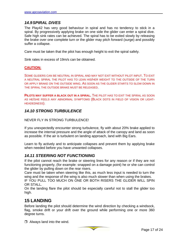## <span id="page-16-0"></span>*14.9SPIRAL DIVES*

The Play42 has very good behaviour in spiral and has no tendency to stick in a spiral. By progressively applying brake on one side the glider can enter a spiral dive. Safe high sink rates can be achieved. The spiral has to be exited slowly by releasing the brake over one complete turn or the glider may pitch forward (surge) and possibly suffer a collapse.

Care must be taken that the pilot has enough height to exit the spiral safely.

Sink rates in excess of 19m/s can be obtained.

#### **CAUTION:**

SOME GLIDERS CAN BE NEUTRAL IN SPIRAL AND MAY NOT EXIT WITHOUT PILOT INPUT. TO EXIT A NEUTRAL SPIRAL THE PILOT HAS TO LEAN HIS/HER WEIGHT TO THE OUTSIDE OF THE TURN OR APPLY BRAKE ON THE OUTSIDE WING. AS SOON AS THE GLIDER STARTS TO SLOW DOWN IN THE SPIRAL THE OUTSIDE BRAKE MUST BE RELEASED.

**PILOTS MAY SUFFER A BLACK OUT IN A SPIRAL.** THE PILOT HAS TO EXIT THE SPIRAL AS SOON AS HE/SHE FEELS ANY ABNORMAL SYMPTOMS (BLACK DOTS IN FIELD OF VISION OR LIGHT-HEADEDNESS).

### *14.10 STRONG TURBULENCE*

#### NEVER FLY IN STRONG TURBULENCE!

If you unexpectedly encounter strong turbulence, fly with about 20% brake applied to increase the internal pressure and the angle of attack of the canopy and land as soon as possible. If the air is turbulent on landing approach, land with Big Ears.

Learn to fly actively and to anticipate collapses and prevent them by applying brake when needed before you have unwanted collapses.

### *14.11 STEERING NOT FUNCTIONING*

If the pilot cannot reach the brake or steering lines for any reason or if they are not functioning properly, (for example: snapped on a damage point) he or she can control the glider by pulling down on the rear risers.

Care must be taken when steering like this, as much less input is needed to turn the wing and the response of the wing is also much slower than when using the brakes.

IF YOU PULL TOO MUCH ON ONE OR BOTH RISERS THE GLIDER WILL SPIN OR STALL.

On the landing flare the pilot should be especially careful not to stall the glider too high.

# **15 LANDING**

Before landing the pilot should determine the wind direction by checking a windsock, flag, smoke drift or your drift over the ground while performing one or more 360 degree turns.

 $\Box$  Always land into the wind.

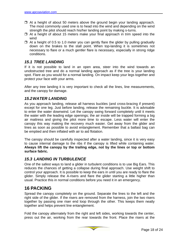- <span id="page-17-0"></span> $\Box$  At a height of about 50 meters above the ground begin your landing approach. The most commonly used one is to head into the wind and depending on the wind strength the pilot should reach his/her landing point by making s-turns.
- $\Box$  At a height of about 15 meters make your final approach in trim speed into the wind
- $\Box$  At a height of 0.5 to 1.0 meter you can gently flare the glider by pulling gradually down on the brakes to the stall point. When top-landing it is sometimes not necessary to flare or a much gentler flare is necessary, especially in strong ridge conditions.

## *15.1 TREE LANDING*

If it is not possible to land in an open area, steer into the wind towards an unobstructed tree and do a normal landing approach as if the tree is your landing spot. Flare as you would for a normal landing. On impact keep your legs together and protect your face with your arms.

After any tree landing it is very important to check all the lines, line measurements, and the canopy for damage.

## *15.2WATER LANDING*

As you approach landing, release all harness buckles (and cross-bracing if present) except for one leg. Just before landing, release the remaining buckle. It is advisable to enter the water downwind. Let the canopy swing forward completely until it meets the water with the leading edge openings; the air inside will be trapped forming a big air mattress and giving the pilot more time to escape. Less water will enter the canopy this way making the recovery much easier. Get away from the glider and lines as soon as possible to avoid entanglement. Remember that a ballast bag can be emptied and then inflated with air to aid flotation.

The canopy should be carefully inspected after a water landing, since it is very easy to cause internal damage to the ribs if the canopy is lifted while containing water. **Always lift the canopy by the trailing edge, not by the lines or top or bottom surface fabric.** 

## *15.3 LANDING IN TURBULENCE*

One of the safest ways to land a glider in turbulent conditions is to use Big Ears. This reduces the chances of getting a collapse during final approach. Use weight shift to control your approach. It is possible to keep the ears in until you are ready to flare the glider. Simply release the A-risers and flare the glider starting a little higher than usual. Practice this in normal conditions before you need it in an emergency.

# **16 PACKING**

Spread the canopy completely on the ground. Separate the lines to the left and the right side of the glider. If the risers are removed from the harness, join the two risers together by passing one riser end loop through the other. This keeps them neatly together and helps prevent line entanglement.

Fold the canopy alternately from the right and left sides, working towards the center, press out the air, working from the rear towards the front. Place the risers at the

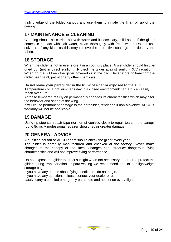<span id="page-18-0"></span>trailing edge of the folded canopy and use them to initiate the final roll up of the canopy.

# **17 MAINTENANCE & CLEANING**

Cleaning should be carried out with water and if necessary, mild soap. If the glider comes in contact with salt water, clean thoroughly with fresh water. Do not use solvents of any kind, as this may remove the protective coatings and destroy the fabric.

# **18 STORAGE**

When the glider is not in use, store it in a cool, dry place. A wet glider should first be dried out (not in direct sunlight). Protect the glider against sunlight (UV radiation). When on the hill keep the glider covered or in the bag. Never store or transport the glider near paint, petrol or any other chemicals.

#### **Do not leave your paraglider in the trunk of a car or exposed to the sun.**

Temperatures on a hot summer's day in a closed environment: car, etc. can easily reach over 60ºC

At these temperatures Nylon permanently changes its characteristics which may alter the behavior and shape of the wing.

It will cause permanent damage to the paraglider, rendering it non-airworthy. APCO's warranty will not be applicable.

# **19 DAMAGE**

Using rip-stop sail repair tape (for non-siliconized cloth) to repair tears in the canopy (up to 5cm). A professional repairer should repair greater damage.

# **20 GENERAL ADVICE**

A qualified person or APCO agent should check the glider every year.

The glider is carefully manufactured and checked at the factory. Never make changes to the canopy or the lines. Changes can introduce dangerous flying characteristics and will not improve flying performance.

Do not expose the glider to direct sunlight when not necessary. In order to protect the glider during transportation or para-waiting we recommend one of our lightweight storage bags.

If you have any doubts about flying conditions - do not begin.

If you have any questions, please contact your dealer or us.

Lastly, carry a certified emergency parachute and helmet on every flight.

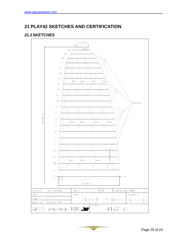# <span id="page-19-0"></span>**21 PLAY42 SKETCHES AND CERTIFICATION**

## *21.1 SKETCHES*



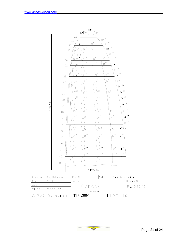

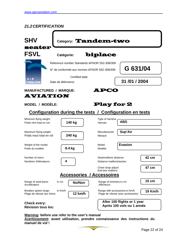## <span id="page-21-0"></span>*21.2CERTIFICATION*



**Warning: before use refer to the user's manual**

**Avertissement: avant utilisation, prendre connaissance des instructions du manuel de vol !**

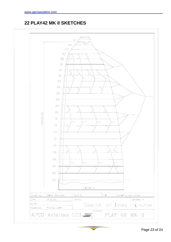# **22 PLAY42 MK II SKETCHES**

<span id="page-22-0"></span>